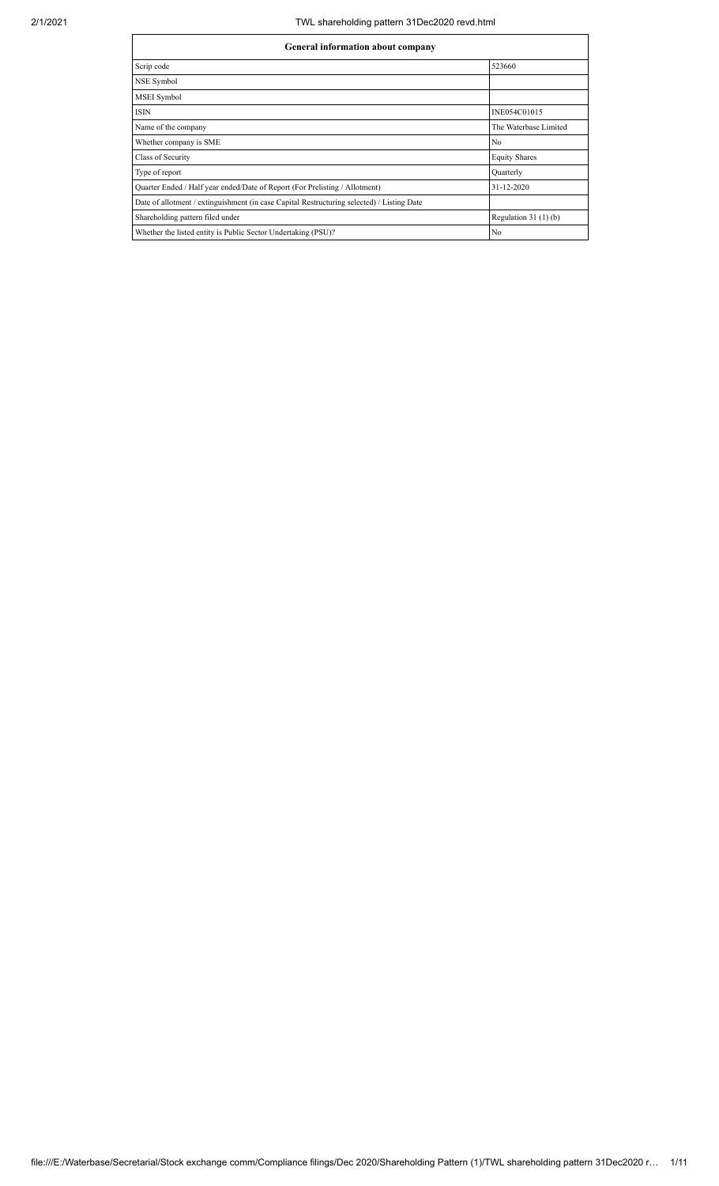## 2/1/2021 TWL shareholding pattern 31Dec2020 revd.html

| General information about company                                                          |                       |  |  |  |  |  |  |  |
|--------------------------------------------------------------------------------------------|-----------------------|--|--|--|--|--|--|--|
| Scrip code                                                                                 | 523660                |  |  |  |  |  |  |  |
| NSE Symbol                                                                                 |                       |  |  |  |  |  |  |  |
| <b>MSEI</b> Symbol                                                                         |                       |  |  |  |  |  |  |  |
| <b>ISIN</b>                                                                                | INE054C01015          |  |  |  |  |  |  |  |
| Name of the company                                                                        | The Waterbase Limited |  |  |  |  |  |  |  |
| Whether company is SME                                                                     | No                    |  |  |  |  |  |  |  |
| Class of Security                                                                          | <b>Equity Shares</b>  |  |  |  |  |  |  |  |
| Type of report                                                                             | Quarterly             |  |  |  |  |  |  |  |
| Quarter Ended / Half year ended/Date of Report (For Prelisting / Allotment)                | $31 - 12 - 2020$      |  |  |  |  |  |  |  |
| Date of allotment / extinguishment (in case Capital Restructuring selected) / Listing Date |                       |  |  |  |  |  |  |  |
| Shareholding pattern filed under                                                           | Regulation $31(1)(b)$ |  |  |  |  |  |  |  |
| Whether the listed entity is Public Sector Undertaking (PSU)?                              | No                    |  |  |  |  |  |  |  |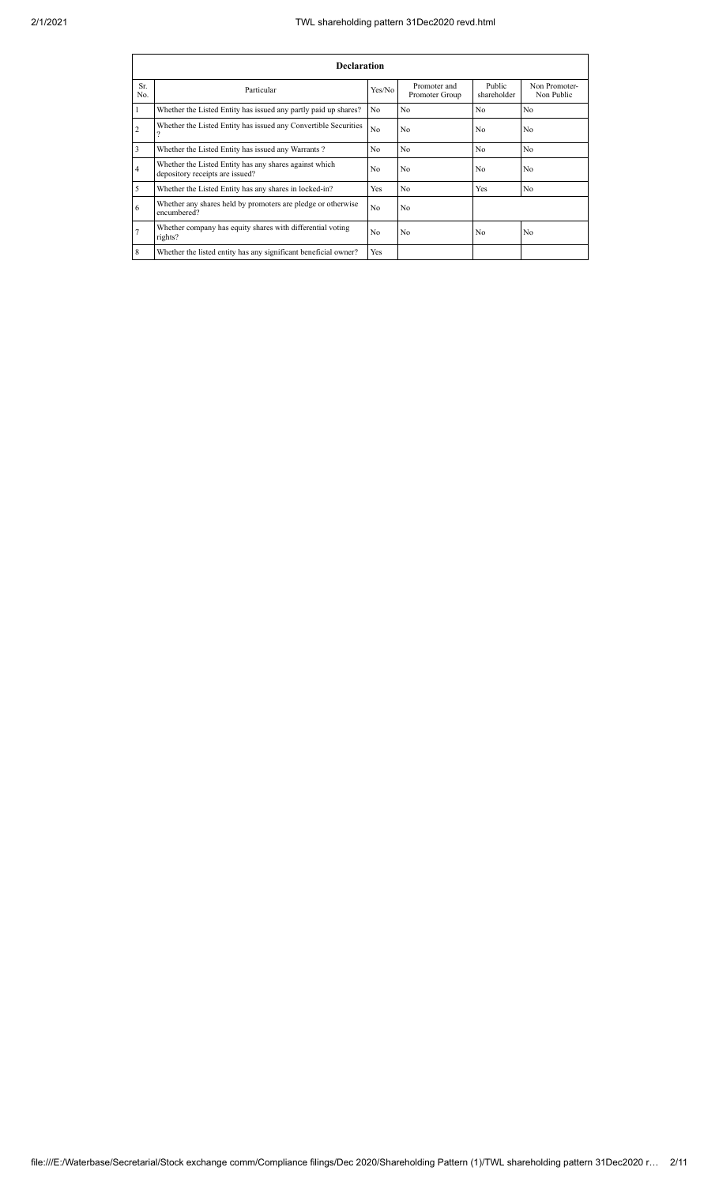## 2/1/2021 TWL shareholding pattern 31Dec2020 revd.html

|                | <b>Declaration</b>                                                                        |                |                                |                       |                             |  |  |  |  |  |  |  |  |  |
|----------------|-------------------------------------------------------------------------------------------|----------------|--------------------------------|-----------------------|-----------------------------|--|--|--|--|--|--|--|--|--|
| Sr.<br>No.     | Particular                                                                                | Yes/No         | Promoter and<br>Promoter Group | Public<br>shareholder | Non Promoter-<br>Non Public |  |  |  |  |  |  |  |  |  |
|                | Whether the Listed Entity has issued any partly paid up shares?                           | No.            | No                             | No                    | N <sub>0</sub>              |  |  |  |  |  |  |  |  |  |
| $\overline{2}$ | Whether the Listed Entity has issued any Convertible Securities                           | N <sub>o</sub> | No                             | No                    | No                          |  |  |  |  |  |  |  |  |  |
| 3              | Whether the Listed Entity has issued any Warrants?                                        | No             | No                             | No                    | No                          |  |  |  |  |  |  |  |  |  |
| $\overline{4}$ | Whether the Listed Entity has any shares against which<br>depository receipts are issued? | No             | No                             | No                    | N <sub>0</sub>              |  |  |  |  |  |  |  |  |  |
| 5              | Whether the Listed Entity has any shares in locked-in?                                    | <b>Yes</b>     | N <sub>o</sub>                 | Yes                   | No                          |  |  |  |  |  |  |  |  |  |
| 6              | Whether any shares held by promoters are pledge or otherwise<br>encumbered?               | No             | No                             |                       |                             |  |  |  |  |  |  |  |  |  |
|                | Whether company has equity shares with differential voting<br>rights?                     | No.            | No                             | No                    | No                          |  |  |  |  |  |  |  |  |  |
| 8              | Whether the listed entity has any significant beneficial owner?                           | <b>Yes</b>     |                                |                       |                             |  |  |  |  |  |  |  |  |  |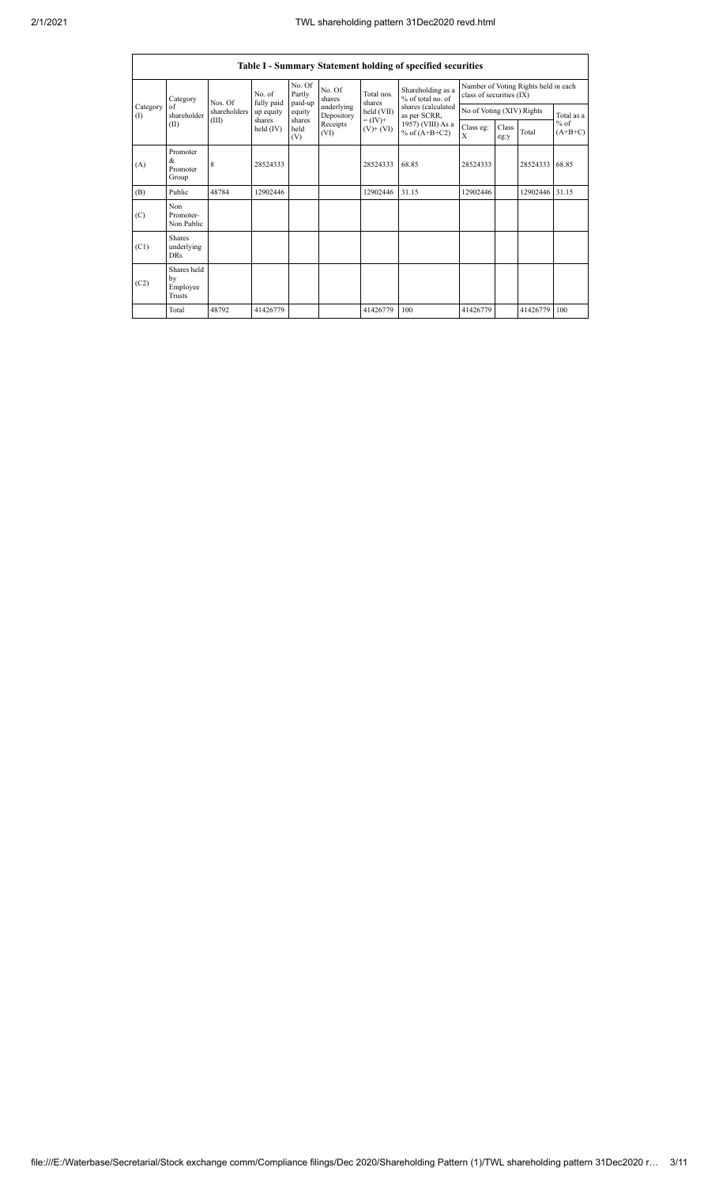|                 |                                                |              |                      |                             |                          |                                                                    | Table I - Summary Statement holding of specified securities                                                          |                                                                  |               |          |                     |
|-----------------|------------------------------------------------|--------------|----------------------|-----------------------------|--------------------------|--------------------------------------------------------------------|----------------------------------------------------------------------------------------------------------------------|------------------------------------------------------------------|---------------|----------|---------------------|
|                 | Category<br>of<br>shareholder<br>(II)          | Nos. Of      | No. of<br>fully paid | No. Of<br>Partly<br>paid-up | No. Of<br>shares         | Total nos.<br>shares<br>held (VII)<br>$= (IV) +$<br>$(V)$ + $(VI)$ | Shareholding as a<br>% of total no. of<br>shares (calculated<br>as per SCRR,<br>1957) (VIII) As a<br>% of $(A+B+C2)$ | Number of Voting Rights held in each<br>class of securities (IX) |               |          |                     |
| Category<br>(1) |                                                | shareholders | up equity<br>shares  | equity                      | underlying<br>Depository |                                                                    |                                                                                                                      | No of Voting (XIV) Rights                                        |               |          | Total as a          |
|                 |                                                | (III)        | held (IV)            | shares<br>held<br>(V)       | Receipts<br>(VI)         |                                                                    |                                                                                                                      | Class eg:<br>X                                                   | Class<br>eg:y | Total    | $%$ of<br>$(A+B+C)$ |
| (A)             | Promoter<br>&<br>Promoter<br>Group             | 8            | 28524333             |                             |                          | 28524333                                                           | 68.85                                                                                                                | 28524333                                                         |               | 28524333 | 68.85               |
| (B)             | Public                                         | 48784        | 12902446             |                             |                          | 12902446                                                           | 31.15                                                                                                                | 12902446                                                         |               | 12902446 | 31.15               |
| (C)             | Non<br>Promoter-<br>Non Public                 |              |                      |                             |                          |                                                                    |                                                                                                                      |                                                                  |               |          |                     |
| (C1)            | <b>Shares</b><br>underlying<br><b>DRs</b>      |              |                      |                             |                          |                                                                    |                                                                                                                      |                                                                  |               |          |                     |
| (C2)            | Shares held<br>by<br>Employee<br><b>Trusts</b> |              |                      |                             |                          |                                                                    |                                                                                                                      |                                                                  |               |          |                     |
|                 | Total                                          | 48792        | 41426779             |                             |                          | 41426779                                                           | 100                                                                                                                  | 41426779                                                         |               | 41426779 | 100                 |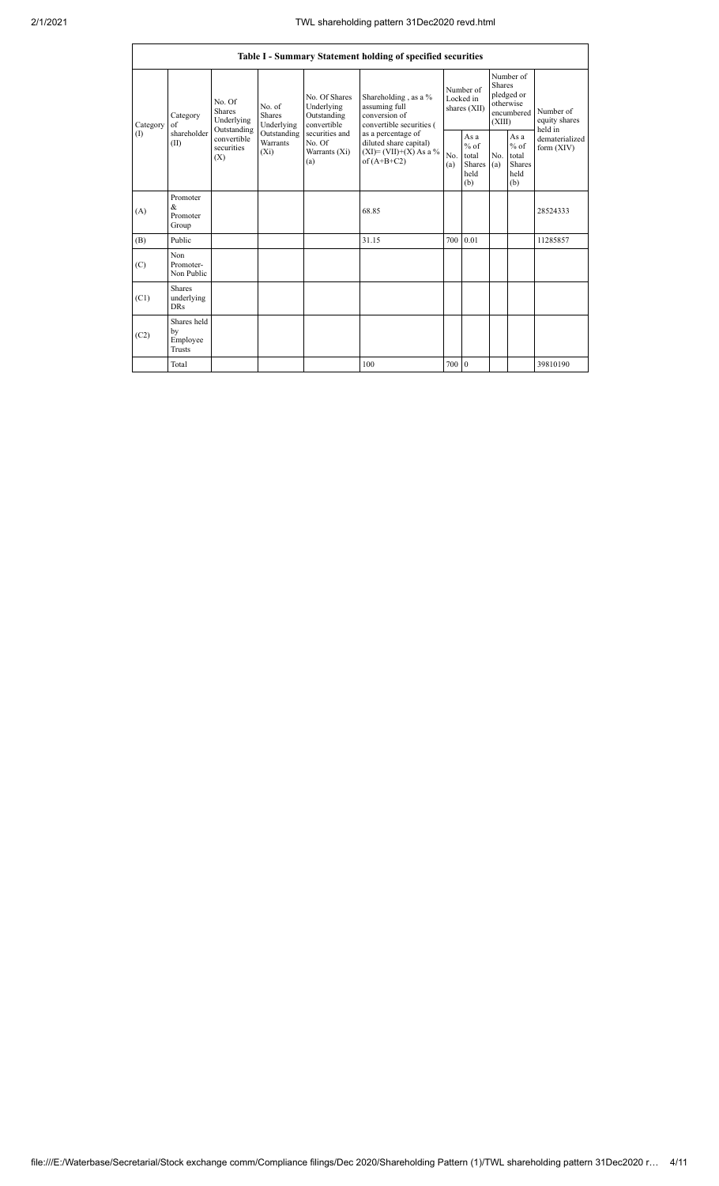|                 | Table I - Summary Statement holding of specified securities |                                                                                          |                                                                             |                                                           |                                                                                          |            |                                                  |                         |                                                    |                                                                       |  |  |  |  |
|-----------------|-------------------------------------------------------------|------------------------------------------------------------------------------------------|-----------------------------------------------------------------------------|-----------------------------------------------------------|------------------------------------------------------------------------------------------|------------|--------------------------------------------------|-------------------------|----------------------------------------------------|-----------------------------------------------------------------------|--|--|--|--|
| Category<br>(1) | Category<br>of<br>shareholder<br>(II)                       | No. Of<br><b>Shares</b><br>Underlying<br>Outstanding<br>convertible<br>securities<br>(X) | No. of<br><b>Shares</b><br>Underlying<br>Outstanding<br>Warrants<br>$(X_i)$ | No. Of Shares<br>Underlying<br>Outstanding<br>convertible | Shareholding, as a %<br>assuming full<br>conversion of<br>convertible securities (       |            | Number of<br>Locked in<br>shares (XII)           | <b>Shares</b><br>(XIII) | Number of<br>pledged or<br>otherwise<br>encumbered | Number of<br>equity shares<br>held in<br>dematerialized<br>form (XIV) |  |  |  |  |
|                 |                                                             |                                                                                          |                                                                             | securities and<br>No. Of<br>Warrants (Xi)<br>(a)          | as a percentage of<br>diluted share capital)<br>$(XI)=(VII)+(X) As a %$<br>of $(A+B+C2)$ | No.<br>(a) | As a<br>$%$ of<br>total<br>Shares<br>held<br>(b) | No.<br>(a)              | As a<br>$%$ of<br>total<br>Shares<br>held<br>(b)   |                                                                       |  |  |  |  |
| (A)             | Promoter<br>&<br>Promoter<br>Group                          |                                                                                          |                                                                             |                                                           | 68.85                                                                                    |            |                                                  |                         |                                                    | 28524333                                                              |  |  |  |  |
| (B)             | Public                                                      |                                                                                          |                                                                             |                                                           | 31.15                                                                                    | 700        | 0.01                                             |                         |                                                    | 11285857                                                              |  |  |  |  |
| (C)             | Non<br>Promoter-<br>Non Public                              |                                                                                          |                                                                             |                                                           |                                                                                          |            |                                                  |                         |                                                    |                                                                       |  |  |  |  |
| (C1)            | <b>Shares</b><br>underlying<br><b>DRs</b>                   |                                                                                          |                                                                             |                                                           |                                                                                          |            |                                                  |                         |                                                    |                                                                       |  |  |  |  |
| (C2)            | Shares held<br>by<br>Employee<br><b>Trusts</b>              |                                                                                          |                                                                             |                                                           |                                                                                          |            |                                                  |                         |                                                    |                                                                       |  |  |  |  |
|                 | Total                                                       |                                                                                          |                                                                             |                                                           | 100                                                                                      | 700        | $\overline{0}$                                   |                         |                                                    | 39810190                                                              |  |  |  |  |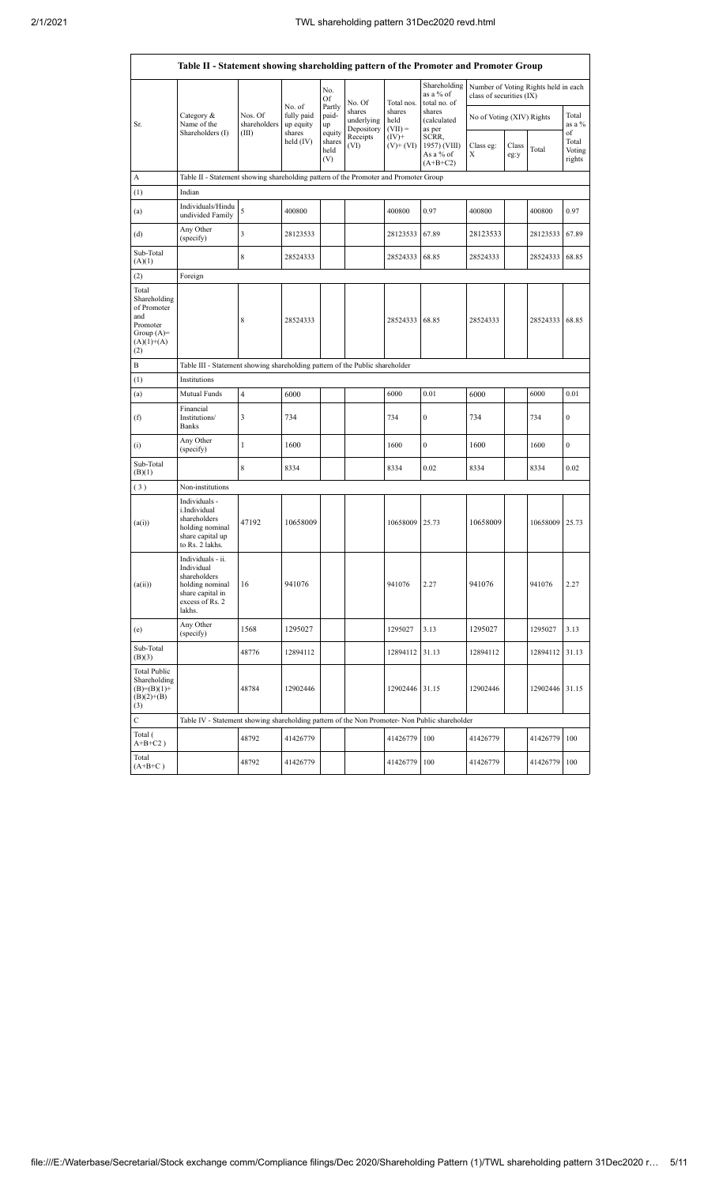|                                                                                                | Table II - Statement showing shareholding pattern of the Promoter and Promoter Group                                |                                                                              |                         |                                 |                                    |                             |                                                  |                           |               |                                      |                                 |  |  |  |
|------------------------------------------------------------------------------------------------|---------------------------------------------------------------------------------------------------------------------|------------------------------------------------------------------------------|-------------------------|---------------------------------|------------------------------------|-----------------------------|--------------------------------------------------|---------------------------|---------------|--------------------------------------|---------------------------------|--|--|--|
|                                                                                                |                                                                                                                     |                                                                              | No. of                  | No.<br>Of                       | No. Of                             | Total nos.                  | Shareholding<br>as a % of<br>total no. of        | class of securities (IX)  |               | Number of Voting Rights held in each |                                 |  |  |  |
| Sr.                                                                                            | Category &<br>Name of the                                                                                           | Nos. Of<br>shareholders                                                      | fully paid<br>up equity | Partly<br>paid-<br>up           | shares<br>underlying<br>Depository | shares<br>held<br>$(VII) =$ | shares<br>(calculated<br>as per                  | No of Voting (XIV) Rights |               |                                      | Total<br>as a $%$               |  |  |  |
|                                                                                                | Shareholders (I)                                                                                                    | (III)                                                                        | shares<br>held $(IV)$   | equity<br>shares<br>held<br>(V) | Receipts<br>(VI)                   | $(IV)+$<br>$(V)$ + (VI)     | SCRR,<br>1957) (VIII)<br>As a % of<br>$(A+B+C2)$ | Class eg:<br>Х            | Class<br>eg:y | Total                                | of<br>Total<br>Voting<br>rights |  |  |  |
| А                                                                                              | Table II - Statement showing shareholding pattern of the Promoter and Promoter Group                                |                                                                              |                         |                                 |                                    |                             |                                                  |                           |               |                                      |                                 |  |  |  |
| (1)                                                                                            | Indian                                                                                                              |                                                                              |                         |                                 |                                    |                             |                                                  |                           |               |                                      |                                 |  |  |  |
| (a)                                                                                            | Individuals/Hindu<br>undivided Family                                                                               | 5                                                                            | 400800                  |                                 |                                    | 400800                      | 0.97                                             | 400800                    |               | 400800                               | 0.97                            |  |  |  |
| (d)                                                                                            | Any Other<br>(specify)                                                                                              | 3                                                                            | 28123533                |                                 |                                    | 28123533                    | 67.89                                            | 28123533                  |               | 28123533                             | 67.89                           |  |  |  |
| Sub-Total<br>(A)(1)                                                                            |                                                                                                                     | 8                                                                            | 28524333                |                                 |                                    | 28524333                    | 68.85                                            | 28524333                  |               | 28524333                             | 68.85                           |  |  |  |
| (2)                                                                                            | Foreign                                                                                                             |                                                                              |                         |                                 |                                    |                             |                                                  |                           |               |                                      |                                 |  |  |  |
| Total<br>Shareholding<br>of Promoter<br>and<br>Promoter<br>Group $(A)=$<br>$(A)(1)+(A)$<br>(2) |                                                                                                                     | 8                                                                            | 28524333                |                                 |                                    | 28524333                    | 68.85                                            | 28524333                  |               | 28524333                             | 68.85                           |  |  |  |
| B                                                                                              |                                                                                                                     | Table III - Statement showing shareholding pattern of the Public shareholder |                         |                                 |                                    |                             |                                                  |                           |               |                                      |                                 |  |  |  |
| (1)                                                                                            | Institutions                                                                                                        |                                                                              |                         |                                 |                                    |                             |                                                  |                           |               |                                      |                                 |  |  |  |
| (a)                                                                                            | Mutual Funds                                                                                                        | 4                                                                            | 6000                    |                                 |                                    | 6000                        | 0.01                                             | 6000                      |               | 6000                                 | 0.01                            |  |  |  |
| (f)                                                                                            | Financial<br>Institutions/<br>Banks                                                                                 | 3                                                                            | 734                     |                                 |                                    | 734                         | $\boldsymbol{0}$                                 | 734                       |               | 734                                  | $\boldsymbol{0}$                |  |  |  |
| (i)                                                                                            | Any Other<br>(specify)                                                                                              | 1                                                                            | 1600                    |                                 |                                    | 1600                        | $\boldsymbol{0}$                                 | 1600                      |               | 1600                                 | $\mathbf{0}$                    |  |  |  |
| Sub-Total<br>(B)(1)                                                                            |                                                                                                                     | $\,$ 8 $\,$                                                                  | 8334                    |                                 |                                    | 8334                        | 0.02                                             | 8334                      |               | 8334                                 | 0.02                            |  |  |  |
| (3)                                                                                            | Non-institutions                                                                                                    |                                                                              |                         |                                 |                                    |                             |                                                  |                           |               |                                      |                                 |  |  |  |
| (a(i))                                                                                         | Individuals -<br>i.Individual<br>shareholders<br>holding nominal<br>share capital up<br>to Rs. 2 lakhs.             | 47192                                                                        | 10658009                |                                 |                                    | 10658009                    | 25.73                                            | 10658009                  |               | 10658009                             | 25.73                           |  |  |  |
| (a(ii))                                                                                        | Individuals - ii.<br>Individual<br>shareholders<br>holding nominal<br>share capital in<br>excess of Rs. 2<br>lakhs. | 16                                                                           | 941076                  |                                 |                                    | 941076                      | 2.27                                             | 941076                    |               | 941076                               | 2.27                            |  |  |  |
| (e)                                                                                            | Any Other<br>(specify)                                                                                              | 1568                                                                         | 1295027                 |                                 |                                    | 1295027                     | 3.13                                             | 1295027                   |               | 1295027                              | 3.13                            |  |  |  |
| Sub-Total<br>(B)(3)                                                                            |                                                                                                                     | 48776                                                                        | 12894112                |                                 |                                    | 12894112                    | 31.13                                            | 12894112                  |               | 12894112                             | 31.13                           |  |  |  |
| <b>Total Public</b><br>Shareholding<br>$(B)=(B)(1)+$<br>$(B)(2)+(B)$<br>(3)                    |                                                                                                                     | 48784                                                                        | 12902446                |                                 |                                    | 12902446 31.15              |                                                  | 12902446                  |               | 12902446                             | 31.15                           |  |  |  |
| $\mathbf C$                                                                                    | Table IV - Statement showing shareholding pattern of the Non Promoter- Non Public shareholder                       |                                                                              |                         |                                 |                                    |                             |                                                  |                           |               |                                      |                                 |  |  |  |
| Total (<br>$A+B+C2$ )                                                                          |                                                                                                                     | 48792                                                                        | 41426779                |                                 |                                    | 41426779 100                |                                                  | 41426779                  |               | 41426779 100                         |                                 |  |  |  |
| Total<br>$(A+B+C)$                                                                             |                                                                                                                     | 48792                                                                        | 41426779                |                                 |                                    | 41426779                    | 100                                              | 41426779                  |               | 41426779                             | 100                             |  |  |  |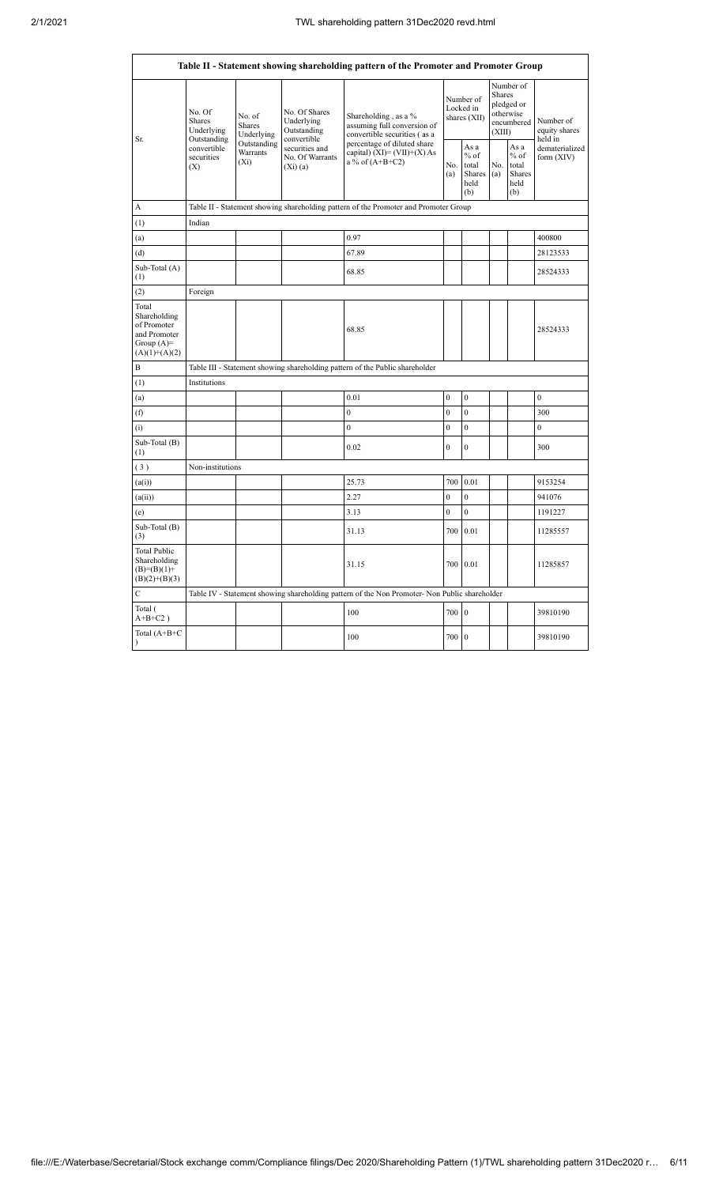| Table II - Statement showing shareholding pattern of the Promoter and Promoter Group    |                                               |                                                                                      |                                                           |                                                                                                                    |                                                |                  |                                                                               |                                                  |                                       |  |  |  |  |  |
|-----------------------------------------------------------------------------------------|-----------------------------------------------|--------------------------------------------------------------------------------------|-----------------------------------------------------------|--------------------------------------------------------------------------------------------------------------------|------------------------------------------------|------------------|-------------------------------------------------------------------------------|--------------------------------------------------|---------------------------------------|--|--|--|--|--|
| Sr.                                                                                     | No. Of<br>Shares<br>Underlying<br>Outstanding | No. of<br><b>Shares</b><br>Underlying                                                | No. Of Shares<br>Underlying<br>Outstanding<br>convertible | Shareholding, as a %<br>assuming full conversion of<br>convertible securities (as a<br>percentage of diluted share | Number of<br>Locked in<br>shares (XII)<br>As a |                  | Number of<br><b>Shares</b><br>pledged or<br>otherwise<br>encumbered<br>(XIII) |                                                  | Number of<br>equity shares<br>held in |  |  |  |  |  |
|                                                                                         | convertible<br>securities<br>(X)              | Outstanding<br>Warrants<br>$(X_i)$                                                   | securities and<br>No. Of Warrants<br>(Xi)(a)              | capital) $(XI) = (VII)+(X) As$<br>a % of $(A+B+C2)$<br>No.<br>(a)                                                  |                                                |                  |                                                                               | As a<br>$%$ of<br>total<br>Shares<br>held<br>(b) | dematerialized<br>form (XIV)          |  |  |  |  |  |
| A                                                                                       |                                               | Table II - Statement showing shareholding pattern of the Promoter and Promoter Group |                                                           |                                                                                                                    |                                                |                  |                                                                               |                                                  |                                       |  |  |  |  |  |
| $^{(1)}$                                                                                | Indian                                        |                                                                                      |                                                           |                                                                                                                    |                                                |                  |                                                                               |                                                  |                                       |  |  |  |  |  |
| (a)                                                                                     |                                               |                                                                                      |                                                           | 0.97                                                                                                               |                                                |                  |                                                                               |                                                  | 400800                                |  |  |  |  |  |
| (d)                                                                                     |                                               |                                                                                      |                                                           | 67.89                                                                                                              |                                                |                  |                                                                               |                                                  | 28123533                              |  |  |  |  |  |
| Sub-Total (A)<br>(1)                                                                    |                                               |                                                                                      |                                                           | 68.85                                                                                                              |                                                |                  |                                                                               |                                                  | 28524333                              |  |  |  |  |  |
| (2)                                                                                     | Foreign                                       |                                                                                      |                                                           |                                                                                                                    |                                                |                  |                                                                               |                                                  |                                       |  |  |  |  |  |
| Total<br>Shareholding<br>of Promoter<br>and Promoter<br>Group $(A)=$<br>$(A)(1)+(A)(2)$ |                                               |                                                                                      |                                                           | 68.85                                                                                                              |                                                |                  |                                                                               |                                                  | 28524333                              |  |  |  |  |  |
| B                                                                                       |                                               |                                                                                      |                                                           | Table III - Statement showing shareholding pattern of the Public shareholder                                       |                                                |                  |                                                                               |                                                  |                                       |  |  |  |  |  |
| $^{(1)}$                                                                                | Institutions                                  |                                                                                      |                                                           |                                                                                                                    |                                                |                  |                                                                               |                                                  |                                       |  |  |  |  |  |
| (a)                                                                                     |                                               |                                                                                      |                                                           | 0.01                                                                                                               | $\mathbf{0}$                                   | $\boldsymbol{0}$ |                                                                               |                                                  | $\boldsymbol{0}$                      |  |  |  |  |  |
| (f)                                                                                     |                                               |                                                                                      |                                                           | $\boldsymbol{0}$                                                                                                   | $\overline{0}$                                 | $\boldsymbol{0}$ |                                                                               |                                                  | 300                                   |  |  |  |  |  |
| (i)                                                                                     |                                               |                                                                                      |                                                           | $\theta$                                                                                                           | $\boldsymbol{0}$                               | $\boldsymbol{0}$ |                                                                               |                                                  | $\boldsymbol{0}$                      |  |  |  |  |  |
| Sub-Total (B)<br>(1)                                                                    |                                               |                                                                                      |                                                           | 0.02                                                                                                               | $\mathbf{0}$                                   | $\mathbf{0}$     |                                                                               |                                                  | 300                                   |  |  |  |  |  |
| (3)                                                                                     | Non-institutions                              |                                                                                      |                                                           |                                                                                                                    |                                                |                  |                                                                               |                                                  |                                       |  |  |  |  |  |
| (a(i))                                                                                  |                                               |                                                                                      |                                                           | 25.73                                                                                                              | 700                                            | 0.01             |                                                                               |                                                  | 9153254                               |  |  |  |  |  |
| (a(ii))                                                                                 |                                               |                                                                                      |                                                           | 2.27                                                                                                               | $\overline{0}$                                 | $\mathbf{0}$     |                                                                               |                                                  | 941076                                |  |  |  |  |  |
| (e)                                                                                     |                                               |                                                                                      |                                                           | 3.13                                                                                                               | $\overline{0}$                                 | $\mathbf{0}$     |                                                                               |                                                  | 1191227                               |  |  |  |  |  |
| Sub-Total (B)<br>(3)                                                                    |                                               |                                                                                      |                                                           | 31.13                                                                                                              | 700                                            | 0.01             |                                                                               |                                                  | 11285557                              |  |  |  |  |  |
| <b>Total Public</b><br>Shareholding<br>$(B)=(B)(1)+$<br>$(B)(2)+(B)(3)$                 |                                               |                                                                                      |                                                           | 31.15                                                                                                              | 700                                            | 0.01             |                                                                               |                                                  | 11285857                              |  |  |  |  |  |
| $\mathbf C$                                                                             |                                               |                                                                                      |                                                           | Table IV - Statement showing shareholding pattern of the Non Promoter- Non Public shareholder                      |                                                |                  |                                                                               |                                                  |                                       |  |  |  |  |  |
| Total (<br>$A+B+C2$ )                                                                   |                                               |                                                                                      |                                                           | 100                                                                                                                | 700 0                                          |                  |                                                                               |                                                  | 39810190                              |  |  |  |  |  |
| Total (A+B+C<br>$\mathcal{E}$                                                           |                                               |                                                                                      |                                                           | 100                                                                                                                | 700 0                                          |                  |                                                                               |                                                  | 39810190                              |  |  |  |  |  |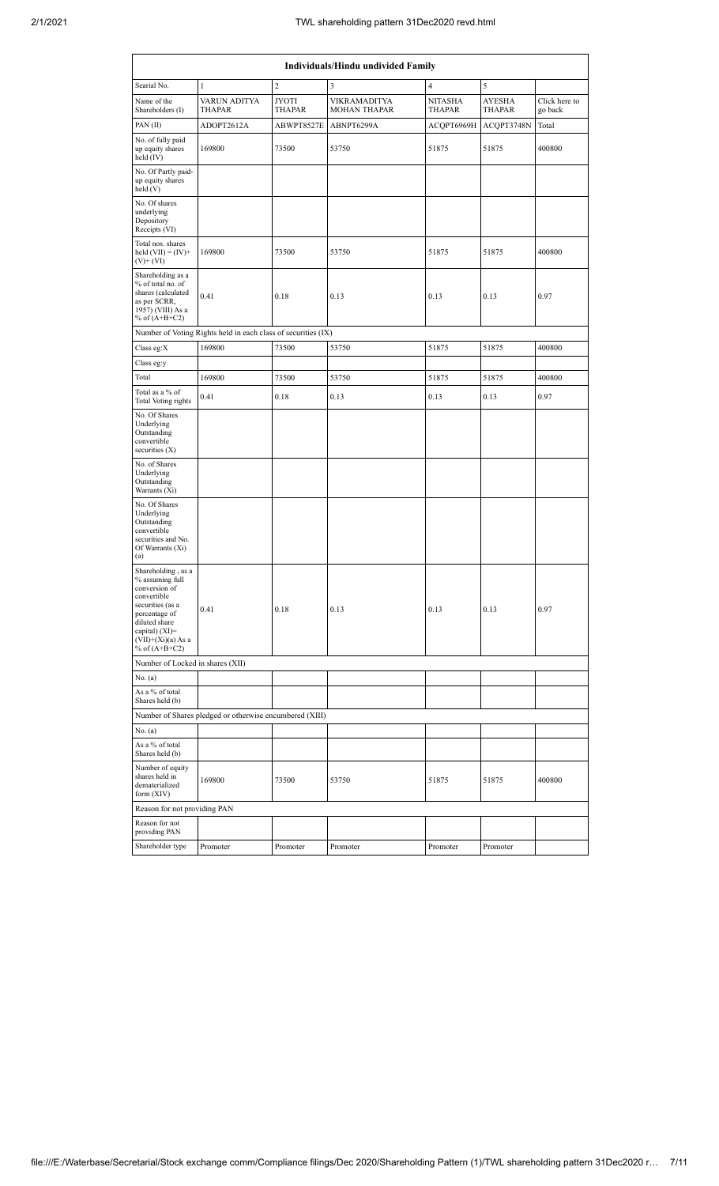| <b>Individuals/Hindu undivided Family</b>                                                                                                                                                |                                                               |                               |                                            |                   |                                |                          |  |  |  |  |  |  |
|------------------------------------------------------------------------------------------------------------------------------------------------------------------------------------------|---------------------------------------------------------------|-------------------------------|--------------------------------------------|-------------------|--------------------------------|--------------------------|--|--|--|--|--|--|
| Searial No.                                                                                                                                                                              | 1                                                             | 2                             | 3                                          | 4                 | 5                              |                          |  |  |  |  |  |  |
| Name of the<br>Shareholders (I)                                                                                                                                                          | VARUN ADITYA<br>THAPAR                                        | <b>JYOTI</b><br><b>THAPAR</b> | <b>VIKRAMADITYA</b><br><b>MOHAN THAPAR</b> | NITASHA<br>THAPAR | <b>AYESHA</b><br><b>THAPAR</b> | Click here to<br>go back |  |  |  |  |  |  |
| PAN(II)                                                                                                                                                                                  | ADOPT2612A                                                    | ABWPT8527E                    | ABNPT6299A                                 | ACQPT6969H        | ACQPT3748N                     | Total                    |  |  |  |  |  |  |
| No. of fully paid<br>up equity shares<br>held (IV)                                                                                                                                       | 169800                                                        | 73500                         | 53750                                      | 51875             | 51875                          | 400800                   |  |  |  |  |  |  |
| No. Of Partly paid-<br>up equity shares<br>held(V)                                                                                                                                       |                                                               |                               |                                            |                   |                                |                          |  |  |  |  |  |  |
| No. Of shares<br>underlying<br>Depository<br>Receipts (VI)                                                                                                                               |                                                               |                               |                                            |                   |                                |                          |  |  |  |  |  |  |
| Total nos. shares<br>held $(VII) = (IV) +$<br>$(V)$ + $(V)$                                                                                                                              | 169800                                                        | 73500                         | 53750                                      | 51875             | 51875                          | 400800                   |  |  |  |  |  |  |
| Shareholding as a<br>% of total no. of<br>shares (calculated<br>0.41<br>as per SCRR,<br>1957) (VIII) As a<br>% of $(A+B+C2)$                                                             |                                                               | 0.18                          | 0.13                                       | 0.13              | 0.13                           | 0.97                     |  |  |  |  |  |  |
|                                                                                                                                                                                          | Number of Voting Rights held in each class of securities (IX) |                               |                                            |                   |                                |                          |  |  |  |  |  |  |
| Class eg:X                                                                                                                                                                               | 169800                                                        | 73500                         | 53750                                      | 51875             | 51875                          | 400800                   |  |  |  |  |  |  |
| Class eg:y                                                                                                                                                                               |                                                               |                               |                                            |                   |                                |                          |  |  |  |  |  |  |
| Total                                                                                                                                                                                    | 169800                                                        | 73500                         | 53750                                      | 51875             | 51875                          | 400800                   |  |  |  |  |  |  |
| Total as a % of<br><b>Total Voting rights</b>                                                                                                                                            | 0.41                                                          | 0.18                          | 0.13                                       | 0.13              | 0.13                           | 0.97                     |  |  |  |  |  |  |
| No. Of Shares<br>Underlying<br>Outstanding<br>convertible<br>securities $(X)$                                                                                                            |                                                               |                               |                                            |                   |                                |                          |  |  |  |  |  |  |
| No. of Shares<br>Underlying<br>Outstanding<br>Warrants (Xi)                                                                                                                              |                                                               |                               |                                            |                   |                                |                          |  |  |  |  |  |  |
| No. Of Shares<br>Underlying<br>Outstanding<br>convertible<br>securities and No.<br>Of Warrants (Xi)<br>(a)                                                                               |                                                               |                               |                                            |                   |                                |                          |  |  |  |  |  |  |
| Shareholding, as a<br>% assuming full<br>conversion of<br>convertible<br>securities (as a<br>percentage of<br>diluted share<br>capital) (XI)=<br>$(VII)+(Xi)(a)$ As a<br>% of $(A+B+C2)$ | 0.41                                                          | 0.18                          | 0.13                                       | 0.13              | 0.13                           | 0.97                     |  |  |  |  |  |  |
| Number of Locked in shares (XII)                                                                                                                                                         |                                                               |                               |                                            |                   |                                |                          |  |  |  |  |  |  |
| No. (a)<br>As a % of total                                                                                                                                                               |                                                               |                               |                                            |                   |                                |                          |  |  |  |  |  |  |
| Shares held (b)                                                                                                                                                                          |                                                               |                               |                                            |                   |                                |                          |  |  |  |  |  |  |
|                                                                                                                                                                                          | Number of Shares pledged or otherwise encumbered (XIII)       |                               |                                            |                   |                                |                          |  |  |  |  |  |  |
| No. (a)                                                                                                                                                                                  |                                                               |                               |                                            |                   |                                |                          |  |  |  |  |  |  |
| As a % of total<br>Shares held (b)                                                                                                                                                       |                                                               |                               |                                            |                   |                                |                          |  |  |  |  |  |  |
| Number of equity<br>shares held in<br>169800<br>dematerialized<br>form (XIV)                                                                                                             |                                                               | 73500                         | 53750                                      | 51875             | 51875                          | 400800                   |  |  |  |  |  |  |
| Reason for not providing PAN                                                                                                                                                             |                                                               |                               |                                            |                   |                                |                          |  |  |  |  |  |  |
| Reason for not<br>providing PAN                                                                                                                                                          |                                                               |                               |                                            |                   |                                |                          |  |  |  |  |  |  |
| Shareholder type                                                                                                                                                                         | Promoter                                                      | Promoter                      | Promoter                                   | Promoter          | Promoter                       |                          |  |  |  |  |  |  |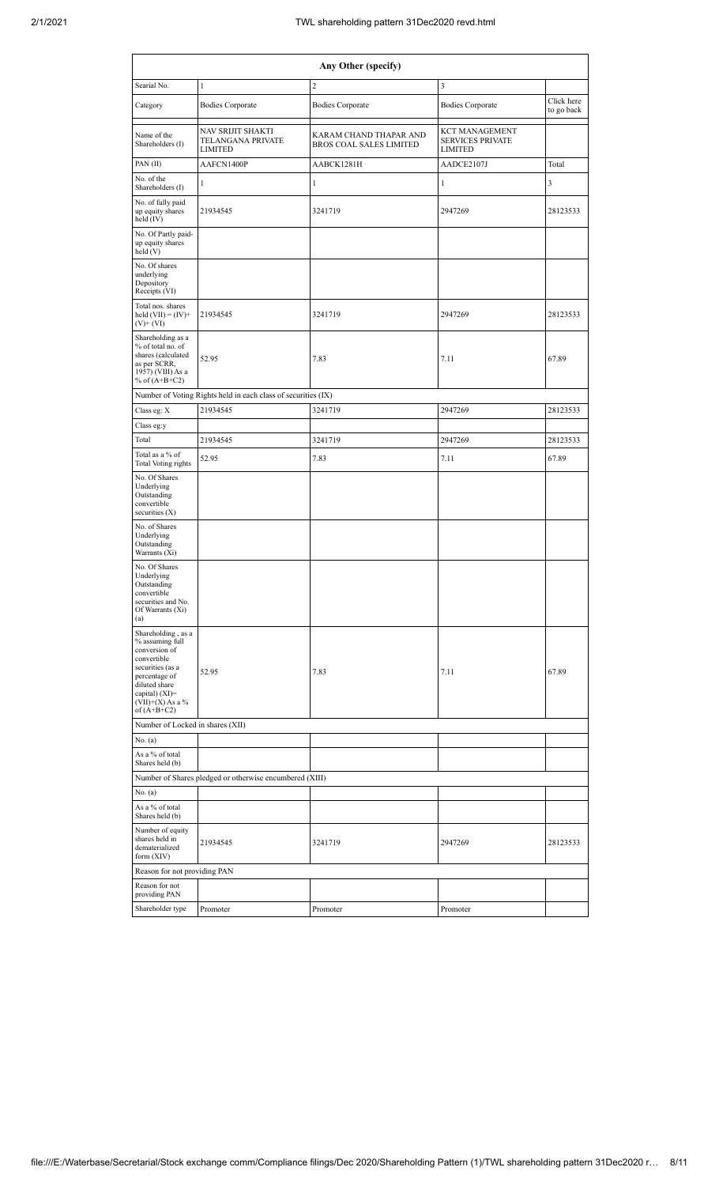| Any Other (specify)                                                                                                                                                                  |                                                               |                                                          |                                                                    |                          |  |  |  |  |  |  |  |  |
|--------------------------------------------------------------------------------------------------------------------------------------------------------------------------------------|---------------------------------------------------------------|----------------------------------------------------------|--------------------------------------------------------------------|--------------------------|--|--|--|--|--|--|--|--|
| Searial No.                                                                                                                                                                          | $\mathbf{1}$                                                  | $\overline{c}$                                           | 3                                                                  |                          |  |  |  |  |  |  |  |  |
| Category                                                                                                                                                                             | <b>Bodies Corporate</b>                                       | <b>Bodies Corporate</b>                                  | <b>Bodies Corporate</b>                                            | Click here<br>to go back |  |  |  |  |  |  |  |  |
| Name of the<br>Shareholders (I)                                                                                                                                                      | NAV SRIJIT SHAKTI<br>TELANGANA PRIVATE<br><b>LIMITED</b>      | KARAM CHAND THAPAR AND<br><b>BROS COAL SALES LIMITED</b> | <b>KCT MANAGEMENT</b><br><b>SERVICES PRIVATE</b><br><b>LIMITED</b> |                          |  |  |  |  |  |  |  |  |
| PAN (II)                                                                                                                                                                             | AAFCN1400P                                                    | AABCK1281H                                               | AADCE2107J                                                         | Total                    |  |  |  |  |  |  |  |  |
| No. of the<br>Shareholders (I)                                                                                                                                                       | 1                                                             | $\mathbf{1}$                                             | $\mathbf{1}$                                                       | 3                        |  |  |  |  |  |  |  |  |
| No. of fully paid<br>up equity shares<br>held (IV)                                                                                                                                   | 21934545                                                      | 3241719                                                  | 2947269                                                            | 28123533                 |  |  |  |  |  |  |  |  |
| No. Of Partly paid-<br>up equity shares<br>held(V)                                                                                                                                   |                                                               |                                                          |                                                                    |                          |  |  |  |  |  |  |  |  |
| No. Of shares<br>underlying<br>Depository<br>Receipts (VI)                                                                                                                           |                                                               |                                                          |                                                                    |                          |  |  |  |  |  |  |  |  |
| Total nos. shares<br>held $(VII) = (IV) +$<br>$(V)$ + $(VI)$                                                                                                                         | 21934545                                                      | 3241719                                                  | 2947269                                                            | 28123533                 |  |  |  |  |  |  |  |  |
| Shareholding as a<br>% of total no. of<br>shares (calculated<br>as per SCRR,<br>1957) (VIII) As a<br>% of $(A+B+C2)$                                                                 | 52.95                                                         | 7.83                                                     | 7.11                                                               | 67.89                    |  |  |  |  |  |  |  |  |
|                                                                                                                                                                                      | Number of Voting Rights held in each class of securities (IX) |                                                          |                                                                    |                          |  |  |  |  |  |  |  |  |
| Class eg: X                                                                                                                                                                          | 21934545                                                      | 3241719                                                  | 2947269                                                            | 28123533                 |  |  |  |  |  |  |  |  |
| Class eg:y                                                                                                                                                                           |                                                               |                                                          |                                                                    |                          |  |  |  |  |  |  |  |  |
| Total                                                                                                                                                                                | 21934545                                                      | 3241719                                                  | 2947269                                                            | 28123533                 |  |  |  |  |  |  |  |  |
| Total as a % of<br>Total Voting rights                                                                                                                                               | 52.95                                                         | 7.83                                                     | 7.11                                                               | 67.89                    |  |  |  |  |  |  |  |  |
| No. Of Shares<br>Underlying<br>Outstanding<br>convertible<br>securities (X)                                                                                                          |                                                               |                                                          |                                                                    |                          |  |  |  |  |  |  |  |  |
| No. of Shares<br>Underlying<br>Outstanding<br>Warrants (Xi)                                                                                                                          |                                                               |                                                          |                                                                    |                          |  |  |  |  |  |  |  |  |
| No. Of Shares<br>Underlying<br>Outstanding<br>convertible<br>securities and No.<br>Of Warrants (Xi)<br>(a)                                                                           |                                                               |                                                          |                                                                    |                          |  |  |  |  |  |  |  |  |
| Shareholding, as a<br>% assuming full<br>conversion of<br>convertible<br>securities (as a<br>percentage of<br>diluted share<br>capital) (XI)=<br>$(VII)+(X)$ As a %<br>of $(A+B+C2)$ | 52.95                                                         | 7.83                                                     | 7.11                                                               | 67.89                    |  |  |  |  |  |  |  |  |
| Number of Locked in shares (XII)                                                                                                                                                     |                                                               |                                                          |                                                                    |                          |  |  |  |  |  |  |  |  |
| No. (a)                                                                                                                                                                              |                                                               |                                                          |                                                                    |                          |  |  |  |  |  |  |  |  |
| As a % of total<br>Shares held (b)                                                                                                                                                   |                                                               |                                                          |                                                                    |                          |  |  |  |  |  |  |  |  |
|                                                                                                                                                                                      | Number of Shares pledged or otherwise encumbered (XIII)       |                                                          |                                                                    |                          |  |  |  |  |  |  |  |  |
| No. (a)                                                                                                                                                                              |                                                               |                                                          |                                                                    |                          |  |  |  |  |  |  |  |  |
| As a % of total<br>Shares held (b)                                                                                                                                                   |                                                               |                                                          |                                                                    |                          |  |  |  |  |  |  |  |  |
| Number of equity<br>shares held in<br>dematerialized<br>form (XIV)                                                                                                                   | 21934545                                                      | 3241719                                                  | 2947269                                                            | 28123533                 |  |  |  |  |  |  |  |  |
| Reason for not providing PAN                                                                                                                                                         |                                                               |                                                          |                                                                    |                          |  |  |  |  |  |  |  |  |
| Reason for not<br>providing PAN                                                                                                                                                      |                                                               |                                                          |                                                                    |                          |  |  |  |  |  |  |  |  |
| Shareholder type                                                                                                                                                                     | Promoter                                                      | Promoter                                                 | Promoter                                                           |                          |  |  |  |  |  |  |  |  |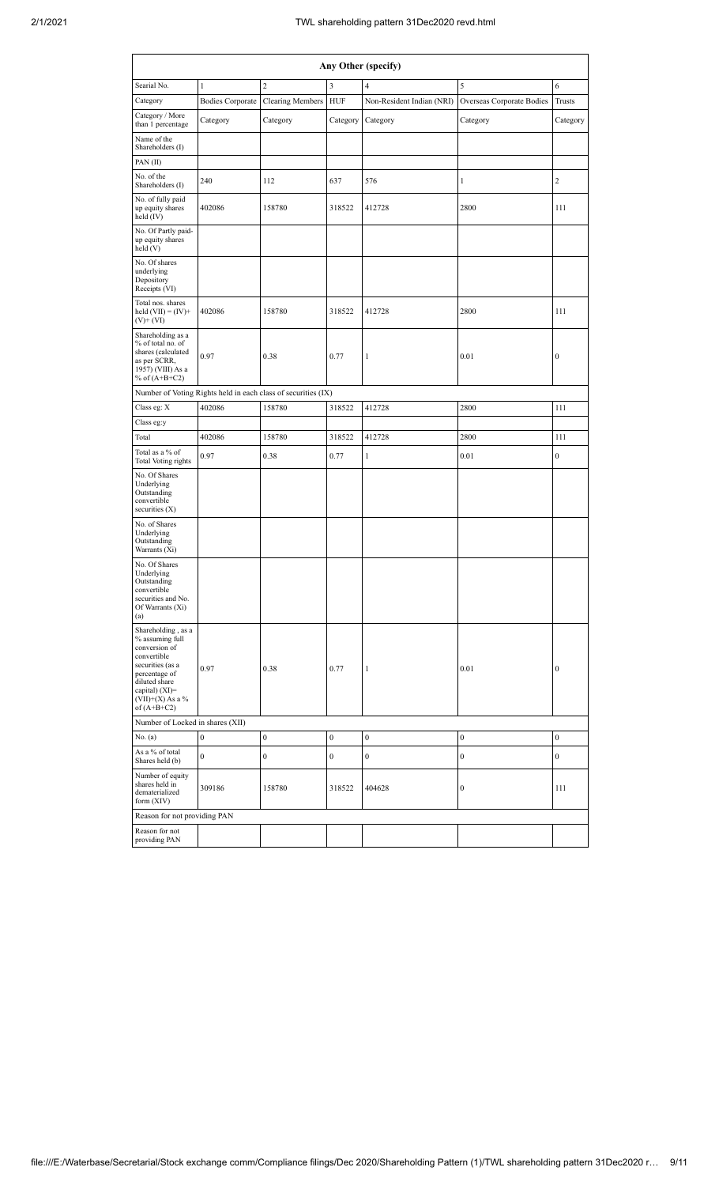|                                                                                                                                                                                      | Any Other (specify)     |                                                               |                  |                           |                           |                  |  |  |  |  |  |  |  |  |
|--------------------------------------------------------------------------------------------------------------------------------------------------------------------------------------|-------------------------|---------------------------------------------------------------|------------------|---------------------------|---------------------------|------------------|--|--|--|--|--|--|--|--|
| Searial No.                                                                                                                                                                          | $\mathbf{1}$            | $\overline{c}$                                                | 3                | 4                         | 5                         | 6                |  |  |  |  |  |  |  |  |
| Category                                                                                                                                                                             | <b>Bodies Corporate</b> | <b>Clearing Members</b>                                       | <b>HUF</b>       | Non-Resident Indian (NRI) | Overseas Corporate Bodies | <b>Trusts</b>    |  |  |  |  |  |  |  |  |
| Category / More<br>than 1 percentage                                                                                                                                                 | Category                | Category                                                      | Category         | Category                  | Category                  | Category         |  |  |  |  |  |  |  |  |
| Name of the<br>Shareholders (I)                                                                                                                                                      |                         |                                                               |                  |                           |                           |                  |  |  |  |  |  |  |  |  |
| PAN(II)                                                                                                                                                                              |                         |                                                               |                  |                           |                           |                  |  |  |  |  |  |  |  |  |
| No. of the<br>Shareholders (I)                                                                                                                                                       | 240                     | 112                                                           | 637              | 576                       | $\mathbf{1}$              | $\overline{2}$   |  |  |  |  |  |  |  |  |
| No. of fully paid<br>up equity shares<br>held (IV)                                                                                                                                   | 402086                  | 158780                                                        | 318522           | 412728                    | 2800                      | 111              |  |  |  |  |  |  |  |  |
| No. Of Partly paid-<br>up equity shares<br>held(V)                                                                                                                                   |                         |                                                               |                  |                           |                           |                  |  |  |  |  |  |  |  |  |
| No. Of shares<br>underlying<br>Depository<br>Receipts (VI)                                                                                                                           |                         |                                                               |                  |                           |                           |                  |  |  |  |  |  |  |  |  |
| Total nos. shares<br>held $(VII) = (IV) +$<br>$(V)$ + $(VI)$                                                                                                                         | 402086                  | 158780                                                        | 318522           | 412728                    | 2800                      | 111              |  |  |  |  |  |  |  |  |
| Shareholding as a<br>% of total no. of<br>shares (calculated<br>as per SCRR,<br>1957) (VIII) As a<br>% of $(A+B+C2)$                                                                 | 0.97                    | 0.38                                                          | 0.77             | 1                         | 0.01                      | $\boldsymbol{0}$ |  |  |  |  |  |  |  |  |
|                                                                                                                                                                                      |                         | Number of Voting Rights held in each class of securities (IX) |                  |                           |                           |                  |  |  |  |  |  |  |  |  |
| Class eg: X                                                                                                                                                                          | 402086                  | 158780                                                        | 318522           | 412728                    | 2800                      | 111              |  |  |  |  |  |  |  |  |
| Class eg:y                                                                                                                                                                           |                         |                                                               |                  |                           |                           |                  |  |  |  |  |  |  |  |  |
| Total                                                                                                                                                                                | 402086                  | 158780                                                        | 318522           | 412728                    | 2800                      | 111              |  |  |  |  |  |  |  |  |
| Total as a % of<br><b>Total Voting rights</b>                                                                                                                                        | 0.97                    | 0.38                                                          | 0.77             | $\mathbf{1}$              | 0.01                      | $\boldsymbol{0}$ |  |  |  |  |  |  |  |  |
| No. Of Shares<br>Underlying<br>Outstanding<br>convertible<br>securities $(X)$                                                                                                        |                         |                                                               |                  |                           |                           |                  |  |  |  |  |  |  |  |  |
| No. of Shares<br>Underlying<br>Outstanding<br>Warrants (Xi)                                                                                                                          |                         |                                                               |                  |                           |                           |                  |  |  |  |  |  |  |  |  |
| No. Of Shares<br>Underlying<br>Outstanding<br>convertible<br>securities and No.<br>Of Warrants (Xi)<br>(a)                                                                           |                         |                                                               |                  |                           |                           |                  |  |  |  |  |  |  |  |  |
| Shareholding, as a<br>% assuming full<br>conversion of<br>convertible<br>securities (as a<br>percentage of<br>diluted share<br>capital) (XI)=<br>$(VII)+(X)$ As a %<br>of $(A+B+C2)$ | 0.97                    | 0.38                                                          | 0.77             | 1                         | 0.01                      | $\boldsymbol{0}$ |  |  |  |  |  |  |  |  |
| Number of Locked in shares (XII)                                                                                                                                                     |                         |                                                               |                  |                           |                           |                  |  |  |  |  |  |  |  |  |
| No. (a)                                                                                                                                                                              | $\boldsymbol{0}$        | $\boldsymbol{0}$                                              | $\boldsymbol{0}$ | $\boldsymbol{0}$          | $\boldsymbol{0}$          | $\boldsymbol{0}$ |  |  |  |  |  |  |  |  |
| As a % of total<br>Shares held (b)                                                                                                                                                   | $\boldsymbol{0}$        | $\boldsymbol{0}$                                              | $\boldsymbol{0}$ | $\boldsymbol{0}$          | $\boldsymbol{0}$          | $\boldsymbol{0}$ |  |  |  |  |  |  |  |  |
| Number of equity<br>shares held in<br>dematerialized<br>form (XIV)                                                                                                                   | 309186                  | 158780                                                        | 318522           | 404628                    | $\boldsymbol{0}$          | 111              |  |  |  |  |  |  |  |  |
| Reason for not providing PAN                                                                                                                                                         |                         |                                                               |                  |                           |                           |                  |  |  |  |  |  |  |  |  |
| Reason for not<br>providing PAN                                                                                                                                                      |                         |                                                               |                  |                           |                           |                  |  |  |  |  |  |  |  |  |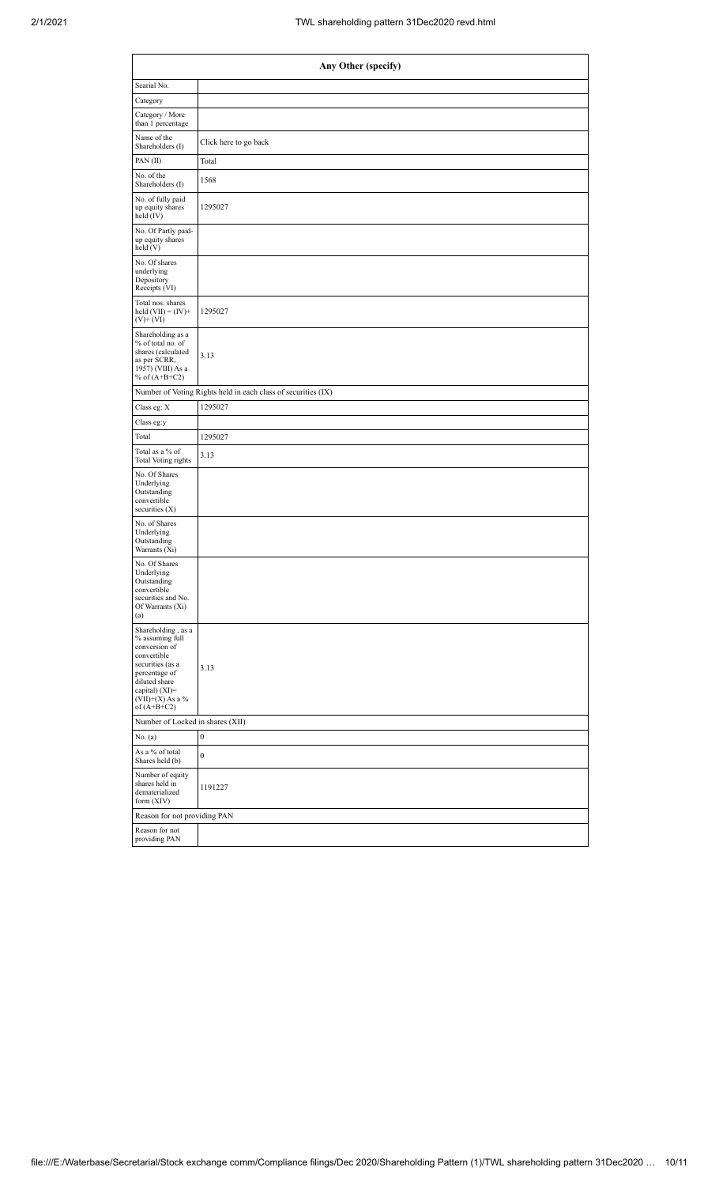| Any Other (specify)                                                                                                                                                                   |                                                               |  |  |  |  |  |  |  |  |  |  |
|---------------------------------------------------------------------------------------------------------------------------------------------------------------------------------------|---------------------------------------------------------------|--|--|--|--|--|--|--|--|--|--|
| Searial No.                                                                                                                                                                           |                                                               |  |  |  |  |  |  |  |  |  |  |
| Category                                                                                                                                                                              |                                                               |  |  |  |  |  |  |  |  |  |  |
| Category / More<br>than 1 percentage                                                                                                                                                  |                                                               |  |  |  |  |  |  |  |  |  |  |
| Name of the<br>Shareholders (I)                                                                                                                                                       | Click here to go back                                         |  |  |  |  |  |  |  |  |  |  |
| PAN(II)                                                                                                                                                                               | Total                                                         |  |  |  |  |  |  |  |  |  |  |
| No. of the<br>Shareholders (I)                                                                                                                                                        | 1568                                                          |  |  |  |  |  |  |  |  |  |  |
| No. of fully paid<br>up equity shares<br>held $(IV)$                                                                                                                                  | 1295027                                                       |  |  |  |  |  |  |  |  |  |  |
| No. Of Partly paid-<br>up equity shares<br>held(V)                                                                                                                                    |                                                               |  |  |  |  |  |  |  |  |  |  |
| No. Of shares<br>underlying<br>Depository<br>Receipts (VI)                                                                                                                            |                                                               |  |  |  |  |  |  |  |  |  |  |
| Total nos. shares<br>held $(VII) = (IV) +$<br>$(V)$ + $(VI)$                                                                                                                          | 1295027                                                       |  |  |  |  |  |  |  |  |  |  |
| Shareholding as a<br>% of total no. of<br>shares (calculated<br>as per SCRR,<br>1957) (VIII) As a<br>% of $(A+B+C2)$                                                                  | 3.13                                                          |  |  |  |  |  |  |  |  |  |  |
|                                                                                                                                                                                       | Number of Voting Rights held in each class of securities (IX) |  |  |  |  |  |  |  |  |  |  |
| Class eg: X                                                                                                                                                                           | 1295027                                                       |  |  |  |  |  |  |  |  |  |  |
| Class eg:y                                                                                                                                                                            |                                                               |  |  |  |  |  |  |  |  |  |  |
| Total                                                                                                                                                                                 | 1295027                                                       |  |  |  |  |  |  |  |  |  |  |
| Total as a % of<br>Total Voting rights                                                                                                                                                | 3.13                                                          |  |  |  |  |  |  |  |  |  |  |
| No. Of Shares<br>Underlying<br>Outstanding<br>convertible<br>securities $(X)$                                                                                                         |                                                               |  |  |  |  |  |  |  |  |  |  |
| No. of Shares<br>Underlying<br>Outstanding<br>Warrants (Xi)                                                                                                                           |                                                               |  |  |  |  |  |  |  |  |  |  |
| No. Of Shares<br>Underlying<br>Outstanding<br>convertible<br>securities and No.<br>Of Warrants (Xi)<br>(a)                                                                            |                                                               |  |  |  |  |  |  |  |  |  |  |
| Shareholding, as a<br>% assuming full<br>conversion of<br>convertible<br>securities (as a<br>percentage of<br>diluted share<br>capital) (XI)=<br>(VII)+(X) As a $\%$<br>of $(A+B+C2)$ | 3.13                                                          |  |  |  |  |  |  |  |  |  |  |
| Number of Locked in shares (XII)                                                                                                                                                      |                                                               |  |  |  |  |  |  |  |  |  |  |
| No. (a)                                                                                                                                                                               | 0                                                             |  |  |  |  |  |  |  |  |  |  |
| As a % of total<br>Shares held (b)                                                                                                                                                    | $\boldsymbol{0}$                                              |  |  |  |  |  |  |  |  |  |  |
| Number of equity<br>shares held in<br>dematerialized<br>form (XIV)                                                                                                                    | 1191227                                                       |  |  |  |  |  |  |  |  |  |  |
| Reason for not providing PAN                                                                                                                                                          |                                                               |  |  |  |  |  |  |  |  |  |  |
| Reason for not<br>providing PAN                                                                                                                                                       |                                                               |  |  |  |  |  |  |  |  |  |  |